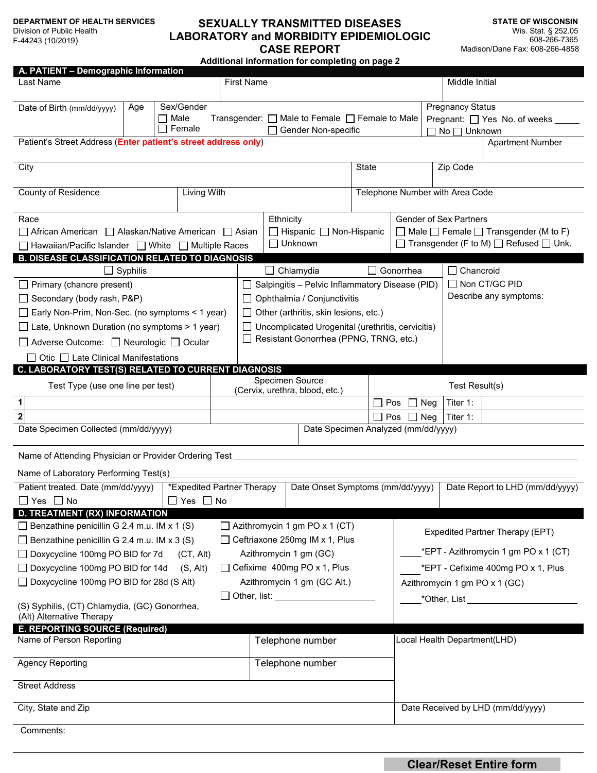#### **DEPARTMENT OF HEALTH SERVICES**

Division of Public Health F-44243 (10/2019)

# **SEXUALLY TRANSMITTED DISEASES LABORATORY and MORBIDITY EPIDEMIOLOGIC CASE REPORT**

**STATE OF WISCONSIN** Wis. Stat. § 252.05 608-266-7365 Madison/Dane Fax: 608-266-4858

**Additional information for completing on page 2**

| A. PATIENT - Demographic Information<br>Last Name                                                                                                           |                 |                                                    |                            | <b>First Name</b>                                                                            |                                                 |                                                                       |                                      |                                 |                                                                                 |                                                                                                                | Middle Initial                                                                                                                            |                                    |                                   |
|-------------------------------------------------------------------------------------------------------------------------------------------------------------|-----------------|----------------------------------------------------|----------------------------|----------------------------------------------------------------------------------------------|-------------------------------------------------|-----------------------------------------------------------------------|--------------------------------------|---------------------------------|---------------------------------------------------------------------------------|----------------------------------------------------------------------------------------------------------------|-------------------------------------------------------------------------------------------------------------------------------------------|------------------------------------|-----------------------------------|
| Date of Birth (mm/dd/yyyy)                                                                                                                                  | Age             | Sex/Gender<br>Male<br>ΙI<br>Female<br>$\mathbf{I}$ |                            |                                                                                              |                                                 | Transgender: □ Male to Female □ Female to Male<br>Gender Non-specific |                                      |                                 | <b>Pregnancy Status</b><br>Pregnant: □ Yes No. of weeks _<br>$No \prod$ Unknown |                                                                                                                |                                                                                                                                           |                                    |                                   |
| Patient's Street Address (Enter patient's street address only)                                                                                              |                 |                                                    |                            |                                                                                              |                                                 |                                                                       |                                      |                                 |                                                                                 |                                                                                                                |                                                                                                                                           |                                    | <b>Apartment Number</b>           |
| City                                                                                                                                                        |                 |                                                    |                            |                                                                                              |                                                 |                                                                       |                                      |                                 | <b>State</b>                                                                    |                                                                                                                | Zip Code                                                                                                                                  |                                    |                                   |
| Living With<br><b>County of Residence</b>                                                                                                                   |                 |                                                    |                            |                                                                                              |                                                 |                                                                       |                                      | Telephone Number with Area Code |                                                                                 |                                                                                                                |                                                                                                                                           |                                    |                                   |
| Race<br>□ African American □ Alaskan/Native American □ Asian<br>□ Hawaiian/Pacific Islander □ White □ Multiple Races                                        |                 |                                                    |                            | Ethnicity<br>$\Box$ Hispanic $\Box$ Non-Hispanic<br>□ Unknown                                |                                                 |                                                                       |                                      |                                 |                                                                                 |                                                                                                                | Gender of Sex Partners<br>$\Box$ Male $\Box$ Female $\Box$ Transgender (M to F)<br>$\Box$ Transgender (F to M) $\Box$ Refused $\Box$ Unk. |                                    |                                   |
| <b>B. DISEASE CLASSIFICATION RELATED TO DIAGNOSIS</b>                                                                                                       |                 |                                                    |                            |                                                                                              |                                                 |                                                                       |                                      |                                 |                                                                                 |                                                                                                                |                                                                                                                                           |                                    |                                   |
|                                                                                                                                                             | $\Box$ Syphilis |                                                    |                            | Gonorrhea<br>$\Box$ Chancroid<br>$\Box$ Chlamydia                                            |                                                 |                                                                       |                                      |                                 |                                                                                 |                                                                                                                |                                                                                                                                           |                                    |                                   |
| $\Box$ Primary (chancre present)                                                                                                                            |                 |                                                    |                            | □ Non CT/GC PID<br>Salpingitis - Pelvic Inflammatory Disease (PID)<br>Describe any symptoms: |                                                 |                                                                       |                                      |                                 |                                                                                 |                                                                                                                |                                                                                                                                           |                                    |                                   |
| $\Box$ Secondary (body rash, P&P)                                                                                                                           |                 |                                                    |                            | Ophthalmia / Conjunctivitis<br>$\Box$ Other (arthritis, skin lesions, etc.)                  |                                                 |                                                                       |                                      |                                 |                                                                                 |                                                                                                                |                                                                                                                                           |                                    |                                   |
| $\Box$ Early Non-Prim, Non-Sec. (no symptoms < 1 year)<br>$\Box$ Late, Unknown Duration (no symptoms > 1 year)                                              |                 |                                                    |                            | Uncomplicated Urogenital (urethritis, cervicitis)                                            |                                                 |                                                                       |                                      |                                 |                                                                                 |                                                                                                                |                                                                                                                                           |                                    |                                   |
| □ Adverse Outcome: □ Neurologic □ Ocular                                                                                                                    |                 |                                                    |                            | Resistant Gonorrhea (PPNG, TRNG, etc.)                                                       |                                                 |                                                                       |                                      |                                 |                                                                                 |                                                                                                                |                                                                                                                                           |                                    |                                   |
| Otic $\Box$ Late Clinical Manifestations                                                                                                                    |                 |                                                    |                            |                                                                                              |                                                 |                                                                       |                                      |                                 |                                                                                 |                                                                                                                |                                                                                                                                           |                                    |                                   |
| C. LABORATORY TEST(S) RELATED TO CURRENT DIAGNOSIS                                                                                                          |                 |                                                    |                            |                                                                                              |                                                 |                                                                       |                                      |                                 |                                                                                 |                                                                                                                |                                                                                                                                           |                                    |                                   |
| Test Type (use one line per test)                                                                                                                           |                 |                                                    |                            | Specimen Source<br>(Cervix, urethra, blood, etc.)                                            |                                                 |                                                                       |                                      |                                 |                                                                                 |                                                                                                                |                                                                                                                                           | Test Result(s)                     |                                   |
| 1                                                                                                                                                           |                 |                                                    |                            |                                                                                              |                                                 |                                                                       |                                      |                                 | Pos                                                                             | Neg                                                                                                            |                                                                                                                                           | Titer 1:                           |                                   |
| $\overline{\mathbf{2}}$                                                                                                                                     |                 |                                                    |                            |                                                                                              |                                                 |                                                                       |                                      |                                 | Pos                                                                             |                                                                                                                | Neg                                                                                                                                       | Titer 1:                           |                                   |
| Date Specimen Collected (mm/dd/yyyy)                                                                                                                        |                 |                                                    |                            |                                                                                              |                                                 |                                                                       |                                      |                                 |                                                                                 | Date Specimen Analyzed (mm/dd/yyyy)                                                                            |                                                                                                                                           |                                    |                                   |
| Name of Attending Physician or Provider Ordering Test                                                                                                       |                 |                                                    |                            |                                                                                              |                                                 |                                                                       |                                      |                                 |                                                                                 |                                                                                                                |                                                                                                                                           |                                    |                                   |
| Name of Laboratory Performing Test(s)                                                                                                                       |                 |                                                    |                            |                                                                                              |                                                 |                                                                       |                                      |                                 |                                                                                 |                                                                                                                |                                                                                                                                           |                                    |                                   |
| Patient treated. Date (mm/dd/yyyy)                                                                                                                          |                 |                                                    | *Expedited Partner Therapy |                                                                                              |                                                 |                                                                       | Date Onset Symptoms (mm/dd/yyyy)     |                                 |                                                                                 |                                                                                                                |                                                                                                                                           |                                    | Date Report to LHD (mm/dd/yyyy)   |
| $\square$ Yes $\square$ No                                                                                                                                  |                 |                                                    | $\Box$ Yes $\Box$ No       |                                                                                              |                                                 |                                                                       |                                      |                                 |                                                                                 |                                                                                                                |                                                                                                                                           |                                    |                                   |
| D. TREATMENT (RX) INFORMATION                                                                                                                               |                 |                                                    |                            |                                                                                              |                                                 |                                                                       |                                      |                                 |                                                                                 |                                                                                                                |                                                                                                                                           |                                    |                                   |
| Benzathine penicillin G 2.4 m.u. IM x 1 (S)                                                                                                                 |                 |                                                    |                            |                                                                                              |                                                 |                                                                       | $\Box$ Azithromycin 1 gm PO x 1 (CT) |                                 |                                                                                 |                                                                                                                |                                                                                                                                           |                                    | Expedited Partner Therapy (EPT)   |
| $\Box$ Benzathine penicillin G 2.4 m.u. IM x 3 (S)                                                                                                          |                 |                                                    |                            | Ceftriaxone 250mg IM x 1, Plus                                                               |                                                 |                                                                       |                                      |                                 |                                                                                 | *EPT - Azithromycin 1 gm PO x 1 (CT)                                                                           |                                                                                                                                           |                                    |                                   |
| Azithromycin 1 gm (GC)<br>◯ Doxycycline 100mg PO BID for 7d<br>(CT, Alt)<br>□ Cefixime 400mg PO x 1, Plus<br>□ Doxycycline 100mg PO BID for 14d<br>(S, Alt) |                 |                                                    |                            |                                                                                              |                                                 |                                                                       |                                      |                                 |                                                                                 |                                                                                                                |                                                                                                                                           | *EPT - Cefixime 400mg PO x 1, Plus |                                   |
| □ Doxycycline 100mg PO BID for 28d (S Alt)                                                                                                                  |                 |                                                    |                            | Azithromycin 1 gm (GC Alt.)                                                                  |                                                 |                                                                       |                                      |                                 |                                                                                 | Azithromycin 1 gm PO x 1 (GC)                                                                                  |                                                                                                                                           |                                    |                                   |
|                                                                                                                                                             |                 |                                                    |                            |                                                                                              | Other, list: <u>with a series of the series</u> |                                                                       |                                      |                                 |                                                                                 | *Other, List and the control of the control of the control of the control of the control of the control of the |                                                                                                                                           |                                    |                                   |
| (S) Syphilis, (CT) Chlamydia, (GC) Gonorrhea,<br>(Alt) Alternative Therapy                                                                                  |                 |                                                    |                            |                                                                                              |                                                 |                                                                       |                                      |                                 |                                                                                 |                                                                                                                |                                                                                                                                           |                                    |                                   |
| E. REPORTING SOURCE (Required)<br>Name of Person Reporting                                                                                                  |                 |                                                    |                            |                                                                                              |                                                 |                                                                       | Telephone number                     |                                 |                                                                                 | Local Health Department(LHD)                                                                                   |                                                                                                                                           |                                    |                                   |
|                                                                                                                                                             |                 |                                                    |                            |                                                                                              |                                                 |                                                                       |                                      |                                 |                                                                                 |                                                                                                                |                                                                                                                                           |                                    |                                   |
| <b>Agency Reporting</b>                                                                                                                                     |                 |                                                    |                            |                                                                                              | Telephone number                                |                                                                       |                                      |                                 |                                                                                 |                                                                                                                |                                                                                                                                           |                                    |                                   |
| <b>Street Address</b>                                                                                                                                       |                 |                                                    |                            |                                                                                              |                                                 |                                                                       |                                      |                                 |                                                                                 |                                                                                                                |                                                                                                                                           |                                    |                                   |
| City, State and Zip                                                                                                                                         |                 |                                                    |                            |                                                                                              |                                                 |                                                                       |                                      |                                 |                                                                                 |                                                                                                                |                                                                                                                                           |                                    | Date Received by LHD (mm/dd/yyyy) |
| Comments:                                                                                                                                                   |                 |                                                    |                            |                                                                                              |                                                 |                                                                       |                                      |                                 |                                                                                 |                                                                                                                |                                                                                                                                           |                                    |                                   |

**Clear/Reset Entire form**